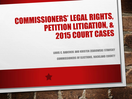# **COMMISSIONERS' LEGAL RIGHTS,** PETITION LITIGATION, & 2015 COURT CASES

**LOUIS C. BABCOCK AND KRISTEN ZEBROWSKI STAVISKY COMMISSIONERS OF ELECTIONS, ROCKLAND COUNTY**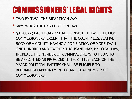- TWO BY TWO: THE BIPARTISAN WAY!
- SAYS WHO? THE NYS ELECTION LAW
- §3-200 (2) EACH BOARD SHALL CONSIST OF TWO ELECTION COMMISSIONERS, EXCEPT THAT THE COUNTY LEGISLATIVE BODY OF A COUNTY HAVING A POPULATION OF MORE THAN ONE HUNDRED AND TWENTY THOUSAND MAY, BY LOCAL LAW, INCREASE THE NUMBER OF COMMISSIONERS TO FOUR, TO BE APPOINTED AS PROVIDED IN THIS TITLE. EACH OF THE MAJOR POLITICAL PARTIES SHALL BE ELIGIBLE TO RECOMMEND APPOINTMENT OF AN EQUAL NUMBER OF COMMISSIONERS.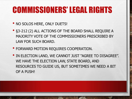- NO SOLOS HERE, ONLY DUETS!
- §3-212 (2) ALL ACTIONS OF THE BOARD SHALL REQUIRE A MAJORITY VOTE OF THE COMMISSIONERS PRESCRIBED BY LAW FOR SUCH BOARD.
- FORWARD MOTION REQUIRES COOPERATION.
- IN ELECTION LAND, WE CANNOT JUST "AGREE TO DISAGREE". WE HAVE THE ELECTION LAW, STATE BOARD, AND RESOURCES TO GUIDE US, BUT SOMETIMES WE NEED A BIT OF A PUSH!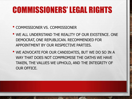- COMMISSIONER VS. COMMISSIONER
- WE ALL UNDERSTAND THE REALITY OF OUR EXISTENCE. ONE DEMOCRAT, ONE REPUBLICAN. RECOMMENDED FOR APPOINTMENT BY OUR RESPECTIVE PARTIES.
- WE ADVOCATE FOR OUR CANDIDATES, BUT WE DO SO IN A WAY THAT DOES NOT COMPROMISE THE OATHS WE HAVE TAKEN, THE VALUES WE UPHOLD, AND THE INTEGRITY OF OUR OFFICE.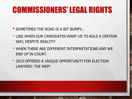- SOMETIMES THE ROAD IS A BIT BUMPY…
- LIKE WHEN OUR CANDIDATES WANT US TO RULE A CERTAIN WAY, DESPITE REALITY!
- WHEN THERE ARE DIFFERENT INTERPRETATIONS AND WE END UP IN COURT.
- 2015 OFFERED A UNIQUE OPPORTUNITY FOR ELECTION LAWYERS: THE WEP!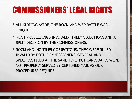- ALL KIDDING ASIDE, THE ROCKLAND WEP BATTLE WAS UNIQUE.
- MOST PROCEEDINGS INVOLVED TIMELY OBJECTIONS AND A SPLIT DECISION BY THE COMMISSIONERS.
- ROCKLAND: NO TIMELY OBJECTIONS. THEY WERE RULED INVALID BY BOTH COMMISSIONERS. GENERAL AND SPECIFICS FILED AT THE SAME TIME, BUT CANDIDATES WERE NOT PROPERLY SERVED BY CERTIFIED MAIL AS OUR PROCEDURES REQUIRE.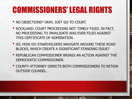- NO OBJECTIONS? OKAY, JUST GO TO COURT.
- ROCKLAND: COURT PROCEEDING NOT TIMELY FILED. IN FACT, NO PROCEEDING TO INVALIDATE WAS EVER FILED AGAINST THIS CERTIFICATE OF NOMINATION.
- SO, HOW DO STAKEHOLDERS NAVIGATE AROUND THESE ROAD BLOCKS, WHICH CREATE A SIGNIFICANT STANDING ISSUE?
- REPUBLICAN COMMISSIONER BRINGS AN ACTION AGAINST THE DEMOCRATIC COMMISSIONER.
- COUNTY ATTORNEY DIRECTS BOTH COMMISSIONERS TO RETAIN OUTSIDE COUNSEL.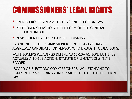- HYBRID PROCEEDING: ARTICLE 78 AND ELECTION LAW.
- PETITIONER SEEKS TO SET THE FORM OF THE GENERAL ELECTION BALLOT.
- RESPONDENT BRINGS MOTION TO DISMISS

-STANDING ISSUE, COMMISSIONER IS NOT PARTY CHAIR, AGGRIEVED CANDIDATE, OR PERSON WHO BROUGHT OBJECTIONS.

-PETITIONER'S PLEADINGS DEFINE AS 16-104 ACTION, BUT IT IS ACTUALLY A 16-102 ACTION. STATUTE OF LIMITATIONS. TIME BARRED.

-BOARD OF ELECTIONS COMMISSIONERS LACK STANDING TO COMMENCE PROCEEDINGS UNDER ARTICLE 16 OF THE ELECTION LAW.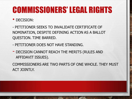#### • DECISION:

- PETITIONER SEEKS TO INVALIDATE CERTIFICATE OF NOMINATION, DESPITE DEFINING ACTION AS A BALLOT QUESTION. TIME BARRED.

- PETITIONER DOES NOT HAVE STANDING.
- DECISION CANNOT REACH THE MERITS (RULES AND AFFIDAVIT ISSUES).

COMMISSIONERS ARE TWO PARTS OF ONE WHOLE. THEY MUST ACT JOINTLY.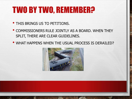# TWO BY TWO, REMEMBER?

- THIS BRINGS US TO PETITIONS.
- COMMISSIONERS RULE JOINTLY AS A BOARD. WHEN THEY SPLIT, THERE ARE CLEAR GUIDELINES.
- WHAT HAPPENS WHEN THE USUAL PROCESS IS DERAILED?

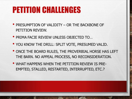- PRESUMPTION OF VALIDITY OR THE BACKBONE OF PETITION REVIEW.
- PRIMA FACIE REVIEW UNLESS OBJECTED TO…
- YOU KNOW THE DRILL: SPLIT VOTE, PRESUMED VALID.
- ONCE THE BOARD RULES, THE PROVERBIAL HORSE HAS LEFT THE BARN. NO APPEAL PROCESS, NO RECONSIDERATION.
- WHAT HAPPENS WHEN THE PETITION REVIEW IS PRE-EMPTED, STALLED, RESTARTED, INTERRUPTED, ETC.?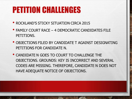- ROCKLAND'S STICKY SITUATION CIRCA 2015
- FAMILY COURT RACE 4 DEMOCRATIC CANDIDATES FILE PETITIONS.
- OBJECTIONS FILED BY CANDIDATE T AGAINST DESIGNATING PETITIONS FOR CANDIDATE N.
- CANDIDATE N GOES TO COURT TO CHALLENGE THE OBJECTIONS. GROUNDS: KEY IS INCORRECT AND SEVERAL CODES ARE MISSING. THEREFORE, CANDIDATE N DOES NOT HAVE ADEQUATE NOTICE OF OBJECTIONS.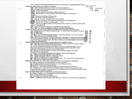KEY TO ABBREVIATIONS USED FOR SPECIFICATIONS OF OBJECTIONS TO DESIGNATING PETITION(S)  $00$  SIVA PRINCIPAL OBJECTIONS TO WITNESS STATEMENT: **JUL** DSP - Date of witness statement is prior to date of any signature US STEAD NPN - No page number or petition page is not sequentially numbered SWALT - Witnass Info altered SWND - No date stated in subscribing witness statement SWWT - Wrong town in witness statement (includes names of hamlets and villages) NCW - No county for witness (Notary only) SWNT - No Town in witness statement SNS - signator not sworn (if page witnessed by notary) SWNR - Witness not registered at address stated (based on BoE database) SWAP -- witness has signed another (competing) petition (identify in "Notes" column with title/voiume/page/line) NNL - notary not licensed (based on State Department database) NN or WN - no number of signatures stated, or wrong number stated PRINCIPAL OBJECTIONS AS TO DATE ENTRY (INCLUDING BOTH WITNESS AND SIGNA FOR) **SUCKLAND**<br>ORAND OF LY ALT - Alteration without initials (date/signature) or initials other than witness or signer SH2 **ILLD - Illegible Date** 11 局 ND - No date stated F Forgery any date alteration that appears suspect (use judgment, err toward using) From surface is prior to start of petition period<br>DOS - date out of sequence, i.e. date is earlier than date given for signature of any line algreg<br>on the same sheet, or follows any signature which is also DOS. e.g. if lin ΰ ÷ Ñ٥  $\langle \ \rangle$ PRINCIPAL OBJECTIONS AS TO SIGNATURE OR SIGNATOR (NUMBERED LINES) ALT - Alteration without initials (date/signature) - or initials other than witness or signer PR or PRN- 5ignature is printed or not handwritten SH - Similar handwriting [Include Vol #, Page #, Line # of corresponding sig] -- use to flag suspect signatures, when different signatures appear to be in the same hand. especially if handwriting is similar to that of the witness. 5W - 5Ignature is that of witness (a witness cannot be a line signator of a shnet which he/she also witnesses) F -- Forgery - any signature alteration that appears suspect (use Judgment) DS -- signator previously signed the same petition. SAP -- signator previously signed a competing petition ILLS - signature illegible, name unrecognizable NR - Signator not registered as stated in BoE records. NE - not enrolled in proper party NA -- signator not registered at address given PRINCIPAL OBJECTIONS AS TO ADDRESS OR MUNICIPALITY (CITY/TOWN) OF SIGNATOR AI - Address illegible or so abbreviated it cannot be Identified NA - No address stated (includes objection to use of ditto ["] marks] PB-Postal Box used and not street address NT -No town -- used when the space is blank or contains only ditto ["] marks. WT - Wrong town -- used when the municipality named is not the actual name of the municipality with the given street address or is not the proper name of the municipality. OD -Address given is outside the District PRINCIPAL OBJECTIONS BASED ON RECORDS OR DATABASE SEARCH: AI - Address illegible or so abbreviated it cannot be identified NFN - Multiple possibilities at address NR - Not registered as stated in BOE records  $\binom{1}{2}$ NRWA - If registered, the address on the petition is not the same as that on the registration.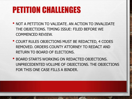- NOT A PETITION TO VALIDATE. AN ACTION TO INVALIDATE THE OBJECTIONS. TIMING ISSUE: FILED BEFORE WE COMMENCED REVIEW.
- COURT RULES OBJECTIONS MUST BE REDACTED, 4 CODES REMOVED. ORDERS COUNTY ATTORNEY TO REDACT AND RETURN TO BOARD OF ELECTIONS.
- BOARD STARTS WORKING ON REDACTED OBJECTIONS. UNPRECEDENTED VOLUME OF OBJECTIONS. THE OBJECTIONS FOR THIS ONE CASE FILLS A BINDER.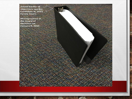Actual binder of<br>objections against Candidate N, 2015 **Family Court.** 

Photographed at:<br>the Board of **Elections** on January 8, 2015.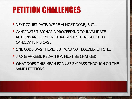- NEXT COURT DATE. WE'RE ALMOST DONE, BUT…
- CANDIDATE T BRINGS A PROCEEDING TO INVALIDATE. ACTIONS ARE COMBINED. RAISES ISSUE RELATED TO CANDIDATE N'S CASE.
- ONE CODE WAS THERE, BUT WAS NOT BOLDED. UH OH…
- JUDGE AGREES. REDACTION MUST BE CHANGED.
- WHAT DOES THIS MEAN FOR US? 2ND PASS THROUGH ON THE SAME PETITIONS!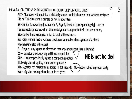PRINCIPAL OBJECTIONS AS TO SIGNATURE OR SIGNATOR (NUMBERED LINES)

ALT - Alteration without initials (date/signature) - or initials other than witness or signer PR or PRN-Signature is printed or not handwritten

SH - Similar handwriting [include Vol #, Page #, Line # of corresponding sig] -- use to flag suspect signatures, when different signatures appear to be in the same hand, especially if handwriting is similar to that of the witness.

SW - Signature is that of witness (a witness cannot be a line signator of a sheet which he/she also witnesses)

F --Forgery - any signature alteration that appears suspect (use judgment)

DS -- signator previously signed the same petition

SAP -- signator previously signed a competing petition

ILLS - signature illegible, name unrecognizable

NR - Signator not registered as stated in BoE records. NE - not enrolled in proper party

NA -- signator not registered at address given

NE is not bolded.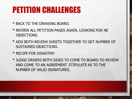- BACK TO THE DRAWING BOARD.
- REVIEW ALL PETITION PAGES AGAIN, LOOKING FOR NE OBJECTIONS.
- ADD BOTH REVIEW SHEETS TOGETHER TO GET NUMBER OF SUSTAINED OBJECTIONS.
- RECIPE FOR DISASTER!
- JUDGE ORDERS BOTH SIDES TO COME TO BOARD TO REVIEW AND COME TO AN AGREEMENT. STIPULATE AS TO THE NUMBER OF VALID SIGNATURES.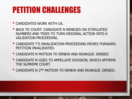• CANDIDATES WORK WITH US.

- BACK TO COURT. CANDIDATE N RENEGES ON STIPULATED NUMBERS AND TRIES TO TURN ORIGINAL ACTION INTO A VALIDATION PROCEEDING.
- CANDIDATE T'S INVALIDATION PROCEEDING MOVES FORWARD. PETITION INVALIDATED.
- CANDIDATE N MOTION TO RENEW AND REARGUE. DENIED.
- CANDIDATE N GOES TO APPELLATE DIVISION, WHICH AFFIRMS THE SUPREME COURT.
- CANDIDATE N 2ND MOTION TO RENEW AND REARGUE. DENIED.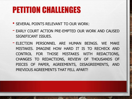- SEVERAL POINTS RELEVANT TO OUR WORK:
- EARLY COURT ACTION PRE-EMPTED OUR WORK AND CAUSED SIGNIFICANT ISSUES.
- ELECTION PERSONNEL ARE HUMAN BEINGS. WE MAKE MISTAKES. IMAGINE HOW HARD IT IS TO RECHECK AND CONTROL FOR THOSE MISTAKES WITH REDACTIONS, CHANGES TO REDACTIONS, REVIEW OF THOUSANDS OF PIECES OF PAPER, AGREEMENTS, DISAGREEMENTS, AND PREVIOUS AGREEMENTS THAT FELL APART!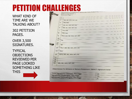WHAT KIND OF TIME ARE WE TALKING ABOUT?

302 PETITION PAGES.

OVER 3,500 SIGNATURES.

TYPICAL OBJECTIONS REVIEWED PER PAGE LOOKED SOMETHING LIKE **THIS** 

der .

十五六六岁

石英

|                   |       | Specifications of Objections, Democratic Party Designating Charge |  |
|-------------------|-------|-------------------------------------------------------------------|--|
| <b>STATISTICS</b> |       | Referencing Volume: 1                                             |  |
|                   |       | Reference Page: 7                                                 |  |
|                   | т.    |                                                                   |  |
|                   | ž.    |                                                                   |  |
|                   | 3.    | NR; NE; WA; WT; OC                                                |  |
|                   | 4.    | PR;F;NE                                                           |  |
|                   | 5.    | NR; NE; WA; WT; OC                                                |  |
|                   | б.    | NR; NE: WA: WT: OC                                                |  |
|                   | 7.    | PR;F;NE                                                           |  |
|                   | 8.    | PR:F:NA                                                           |  |
| 9.                |       | PR;F;NR; NE; WA; WT; OC                                           |  |
|                   |       |                                                                   |  |
| 10.<br>11.        | NF    |                                                                   |  |
|                   |       |                                                                   |  |
| 12.<br>13.        | NE    |                                                                   |  |
|                   |       |                                                                   |  |
| 14.               |       | PR; F; NR; NE; WA; WT; OC                                         |  |
|                   |       |                                                                   |  |
| 15.               | PR: F |                                                                   |  |
| 16.               |       | NFN; NR; NE; WA; WT; OC                                           |  |
|                   |       |                                                                   |  |
| 17.               |       |                                                                   |  |
| 18.               |       |                                                                   |  |
| 19.               |       |                                                                   |  |
| 20.               |       | NR; NE; WA; WT; OC                                                |  |
|                   |       |                                                                   |  |

Objection(s) To Witness or Notary Statement: SWALT: signature total

| Total Signatures Claimed, This Page | 19 |  |
|-------------------------------------|----|--|
| Signatures Challenged, This Page    | 19 |  |
| Signatures Unchallenged, This Page  |    |  |